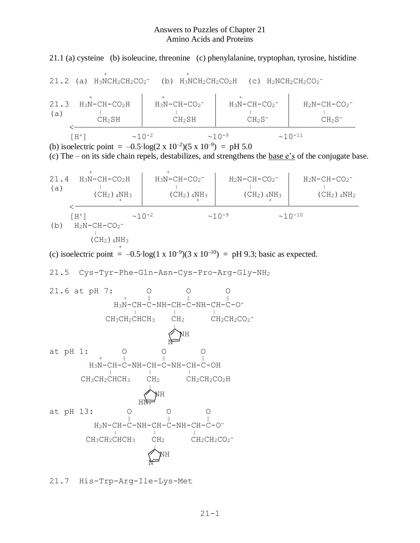## Answers to Puzzles of Chapter 21 Amino Acids and Proteins

21.1 (a) cysteine (b) isoleucine, threonine (c) phenylalanine, tryptophan, tyrosine, histidine

 <sup>+</sup> <sup>+</sup> 21.2 (a) H3NCH2CH2CO<sup>2</sup> - (b) H3NCH2CH2CO2H (c) H2NCH2CH2CO<sup>2</sup> - <sup>+</sup> <sup>+</sup> <sup>+</sup> 21.3 H3N-CH-CO2H H3N-CH-CO<sup>2</sup> - H3N-CH-CO<sup>2</sup> - H2N-CH-CO<sup>2</sup> - (a) <sup>|</sup> <sup>|</sup> <sup>|</sup> <sup>|</sup> CH2SH CH2SH CH2S- CH2S- <————————————————————————————————————————————————————————— [H+] ~10-2 ~10-9 ~10-11

(b) isoelectric point =  $-0.5 \cdot \log(2 \times 10^{-2})(5 \times 10^{-9}) =$  pH 5.0

(c) The – on its side chain repels, destabilizes, and strengthens the base e's of the conjugate base.

21.4 
$$
H_3N-CH-CO_2H
$$
  
\n(a)  $\left(\begin{array}{c} + \\ + \\ + \end{array}\right)$   
\n $\left(\begin{array}{c} + \\ - \\ + \end{array}\right)$   
\n $\left(\begin{array}{c} + \\ - \\ + \end{array}\right)$   
\n $\left(\begin{array}{c} + \\ - \\ - \\ + \end{array}\right)$   
\n $\left(\begin{array}{c} + \\ - \\ - \\ + \end{array}\right)$   
\n $\left(\begin{array}{c} + \\ - \\ - \\ + \end{array}\right)$   
\n $\left(\begin{array}{c} + \\ - \\ - \\ + \end{array}\right)$   
\n $\left(\begin{array}{c} + \\ - \\ - \\ + \end{array}\right)$   
\n $\left(\begin{array}{c} + \\ - \\ - \\ + \end{array}\right)$   
\n $\left(\begin{array}{c} + \\ - \\ - \\ + \end{array}\right)$   
\n $\left(\begin{array}{c} + \\ - \\ - \\ + \end{array}\right)$   
\n $\left(\begin{array}{c} + \\ - \\ - \\ + \end{array}\right)$   
\n $\left(\begin{array}{c} + \\ - \\ - \\ + \end{array}\right)$   
\n $\left(\begin{array}{c} + \\ - \\ - \\ + \end{array}\right)$   
\n $\left(\begin{array}{c} + \\ - \\ - \\ - \end{array}\right)$   
\n $\left(\begin{array}{c} + \\ - \\ - \\ - \end{array}\right)$   
\n $\left(\begin{array}{c} + \\ - \\ - \\ - \end{array}\right)$   
\n $\left(\begin{array}{c} + \\ - \\ - \\ - \end{array}\right)$   
\n $\left(\begin{array}{c} + \\ - \\ - \\ - \end{array}\right)$   
\n $\left(\begin{array}{c} + \\ - \\ - \\ - \end{array}\right)$   
\n $\left(\begin{array}{c} + \\ - \\ - \\ - \end{array}\right)$   
\n $\left(\begin{array}{c} + \\ - \\ - \\ - \end{array}\right)$   
\n $\left(\begin{array}{c} + \\ - \\ - \\ - \end{array}\right)$   
\n $\left(\begin{array}{c} + \\ - \\ - \\ - \end{array}\right)$   
\n $\left(\begin{array}{c} + \\ - \\ - \\ - \end{array}\right)$ 

(c) isoelectric point =  $-0.5 \log(1 \times 10^{-9})(3 \times 10^{-10})$  = pH 9.3; basic as expected.

21.5 
$$
Cys-Tyr-Phe-Gln-Asn-Cys-Pro-Arg-Gly-NH2
$$



21.7 His-Trp-Arg-Ile-Lys-Met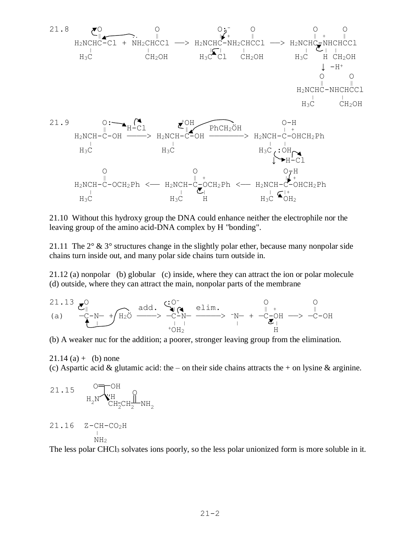

21.10 Without this hydroxy group the DNA could enhance neither the electrophile nor the leaving group of the amino acid-DNA complex by H "bonding".

21.11 The  $2^{\circ}$  &  $3^{\circ}$  structures change in the slightly polar ether, because many nonpolar side chains turn inside out, and many polar side chains turn outside in.

21.12 (a) nonpolar (b) globular (c) inside, where they can attract the ion or polar molecule (d) outside, where they can attract the main, nonpolar parts of the membrane

$$
\begin{array}{ccccc}\n21.13 & \mathcal{E}^{\mathsf{O}}_{\parallel} & & \text{add.} & \overset{c}{\longrightarrow} & \overset{c}{\longrightarrow} & \overset{c}{\longrightarrow} & \overset{c}{\longrightarrow} & \overset{c}{\longrightarrow} & \overset{c}{\longrightarrow} & \overset{c}{\longrightarrow} & \overset{c}{\longrightarrow} & \overset{c}{\longrightarrow} & \overset{c}{\longrightarrow} & \overset{c}{\longrightarrow} & \overset{c}{\longrightarrow} & \overset{c}{\longrightarrow} & \overset{c}{\longrightarrow} & \overset{c}{\longrightarrow} & \overset{c}{\longrightarrow} & \overset{c}{\longrightarrow} & \overset{c}{\longrightarrow} & \overset{c}{\longrightarrow} & \overset{c}{\longrightarrow} & \overset{c}{\longrightarrow} & \overset{c}{\longrightarrow} & \overset{c}{\longrightarrow} & \overset{c}{\longrightarrow} & \overset{c}{\longrightarrow} & \overset{c}{\longrightarrow} & \overset{c}{\longrightarrow} & \overset{c}{\longrightarrow} & \overset{c}{\longrightarrow} & \overset{c}{\longrightarrow} & \overset{c}{\longrightarrow} & \overset{c}{\longrightarrow} & \overset{c}{\longrightarrow} & \overset{c}{\longrightarrow} & \overset{c}{\longrightarrow} & \overset{c}{\longrightarrow} & \overset{c}{\longrightarrow} & \overset{c}{\longrightarrow} & \overset{c}{\longrightarrow} & \overset{c}{\longrightarrow} & \overset{c}{\longrightarrow} & \overset{c}{\longrightarrow} & \overset{c}{\longrightarrow} & \overset{c}{\longrightarrow} & \overset{c}{\longrightarrow} & \overset{c}{\longrightarrow} & \overset{c}{\longrightarrow} & \overset{c}{\longrightarrow} & \overset{c}{\longrightarrow} & \overset{c}{\longrightarrow} & \overset{c}{\longrightarrow} & \overset{c}{\longrightarrow} & \overset{c}{\longrightarrow} & \overset{c}{\longrightarrow} & \overset{c}{\longrightarrow} & \overset{c}{\longrightarrow} & \overset{c}{\longrightarrow} & \overset{c}{\longrightarrow} & \overset{c}{\longrightarrow} & \overset{c}{\longrightarrow} & \overset{c}{\longrightarrow} & \overset{c}{\longrightarrow} & \overset{c}{\longrightarrow} & \overset{c}{\longrightarrow} & \overset{c}{\longrightarrow} & \overset{c}{\longrightarrow} & \overset{c}{\longrightarrow} & \overset{c}{\longrightarrow} & \overset{c}{\longrightarrow} & \overset{c}{\longrightarrow} & \overset{c}{\longrightarrow} & \overset{c}{\longrightarrow}
$$

(b) A weaker nuc for the addition; a poorer, stronger leaving group from the elimination.

 $21.14$  (a) + (b) none (c) Aspartic acid & glutamic acid: the – on their side chains attracts the + on lysine & arginine.

21.15 
$$
\overline{O} = \overline{O}
$$
H  
\n $H_2N$  $\overline{V}_{CH_2CH_2}^H$ 

 $NH<sub>2</sub>$ 

|<br>|<br>|

The less polar CHCl<sub>3</sub> solvates ions poorly, so the less polar unionized form is more soluble in it.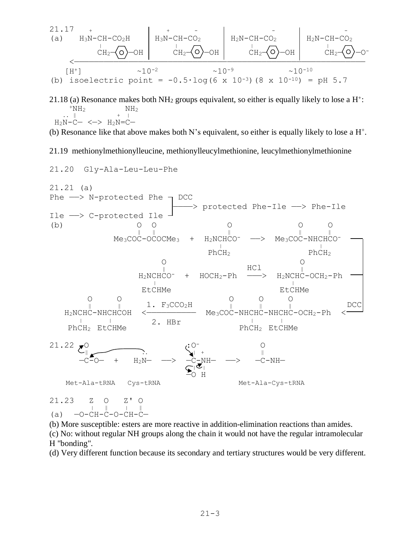$$
\begin{array}{c|c|c|c|c|c|c} \n\text{A} & \text{A} & \text{A} & \text{A} & \text{A} & \text{A} & \text{A} & \text{A} & \text{A} \\
\hline\n\text{A} & \text{A} & \text{A} & \text{A} & \text{A} & \text{A} & \text{A} \\
\hline\n\text{A} & \text{A} & \text{A} & \text{A} & \text{A} & \text{A} \\
\hline\n\text{A} & \text{A} & \text{A} & \text{A} & \text{A} & \text{A} \\
\hline\n\text{A} & \text{A} & \text{A} & \text{A} & \text{A} \\
\hline\n\text{A} & \text{A} & \text{A} & \text{A} & \text{A} \\
\hline\n\text{A} & \text{A} & \text{A} & \text{A} & \text{A} \\
\hline\n\text{A} & \text{A} & \text{A} & \text{A} & \text{A} \\
\hline\n\text{A} & \text{A} & \text{A} & \text{A} & \text{A} \\
\hline\n\text{A} & \text{A} & \text{A} & \text{A} & \text{A} \\
\hline\n\text{A} & \text{A} & \text{A} & \text{A} & \text{A} \\
\hline\n\text{A} & \text{A} & \text{A} & \text{A} & \text{A} \\
\hline\n\text{A} & \text{A} & \text{A} & \text{A} & \text{A} \\
\hline\n\text{A} & \text{A} & \text{A} & \text{A} & \text{A} \\
\hline\n\text{A} & \text{A} & \text{A} & \text{A} & \text{A} \\
\hline\n\text{A} & \text{A} & \text{A} & \text{A} & \text{A} \\
\hline\n\text{
$$

21.18 (a) Resonance makes both NH<sub>2</sub> groups equivalent, so either is equally likely to lose a  $H^{\dagger}$ :  $+NH<sub>2</sub>$  NH<sub>2</sub>  $\ldots$   $\parallel$   $\ldots$   $\parallel$   $\ldots$   $\parallel$  $H_2N-C- \iff H_2N=C-$ 

(b) Resonance like that above makes both N's equivalent, so either is equally likely to lose a  $H^+$ .

21.19 methionylmethionylleucine, methionylleucylmethionine, leucylmethionylmethionine

21.20 Gly-Ala-Leu-Leu-Phe



(b) More susceptible: esters are more reactive in addition-elimination reactions than amides. (c) No: without regular NH groups along the chain it would not have the regular intramolecular H "bonding".

(d) Very different function because its secondary and tertiary structures would be very different.